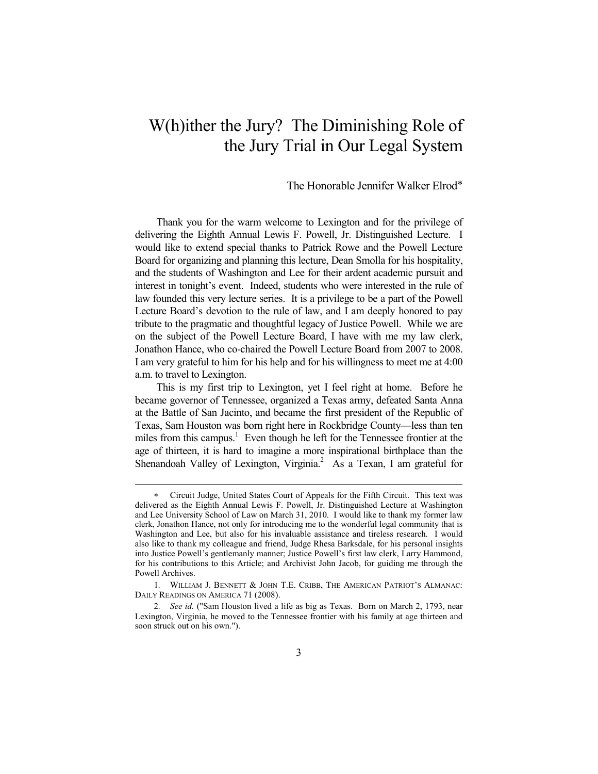## W(h)ither the Jury? The Diminishing Role of the Jury Trial in Our Legal System

## The Honorable Jennifer Walker Elrod∗

Thank you for the warm welcome to Lexington and for the privilege of delivering the Eighth Annual Lewis F. Powell, Jr. Distinguished Lecture. I would like to extend special thanks to Patrick Rowe and the Powell Lecture Board for organizing and planning this lecture, Dean Smolla for his hospitality, and the students of Washington and Lee for their ardent academic pursuit and interest in tonight's event. Indeed, students who were interested in the rule of law founded this very lecture series. It is a privilege to be a part of the Powell Lecture Board's devotion to the rule of law, and I am deeply honored to pay tribute to the pragmatic and thoughtful legacy of Justice Powell. While we are on the subject of the Powell Lecture Board, I have with me my law clerk, Jonathon Hance, who co-chaired the Powell Lecture Board from 2007 to 2008. I am very grateful to him for his help and for his willingness to meet me at 4:00 a.m. to travel to Lexington.

This is my first trip to Lexington, yet I feel right at home. Before he became governor of Tennessee, organized a Texas army, defeated Santa Anna at the Battle of San Jacinto, and became the first president of the Republic of Texas, Sam Houston was born right here in Rockbridge County—less than ten miles from this campus.<sup>1</sup> Even though he left for the Tennessee frontier at the age of thirteen, it is hard to imagine a more inspirational birthplace than the Shenandoah Valley of Lexington, Virginia.<sup>2</sup> As a Texan, I am grateful for

<sup>∗</sup> Circuit Judge, United States Court of Appeals for the Fifth Circuit. This text was delivered as the Eighth Annual Lewis F. Powell, Jr. Distinguished Lecture at Washington and Lee University School of Law on March 31, 2010. I would like to thank my former law clerk, Jonathon Hance, not only for introducing me to the wonderful legal community that is Washington and Lee, but also for his invaluable assistance and tireless research. I would also like to thank my colleague and friend, Judge Rhesa Barksdale, for his personal insights into Justice Powell's gentlemanly manner; Justice Powell's first law clerk, Larry Hammond, for his contributions to this Article; and Archivist John Jacob, for guiding me through the Powell Archives.

<sup>1</sup>*.* WILLIAM J. BENNETT & JOHN T.E. CRIBB, THE AMERICAN PATRIOT'S ALMANAC: DAILY READINGS ON AMERICA 71 (2008).

<sup>2</sup>*. See id.* ("Sam Houston lived a life as big as Texas. Born on March 2, 1793, near Lexington, Virginia, he moved to the Tennessee frontier with his family at age thirteen and soon struck out on his own.").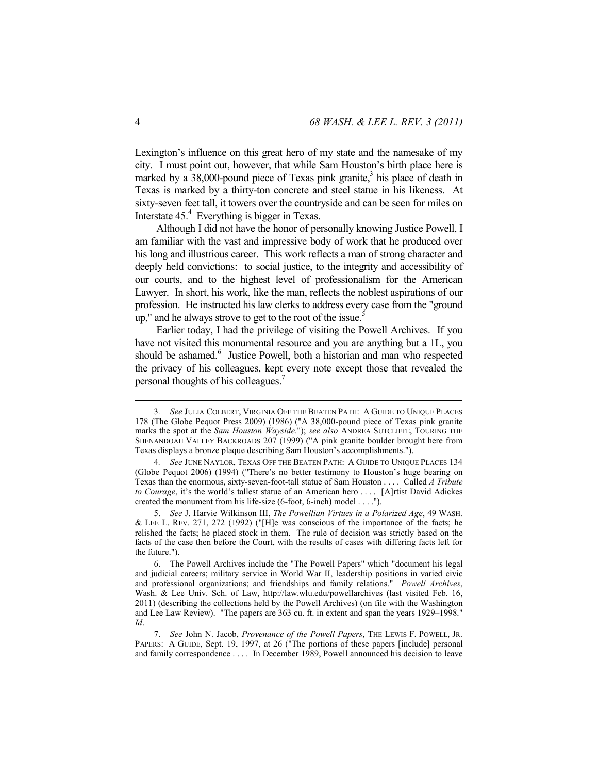Lexington's influence on this great hero of my state and the namesake of my city. I must point out, however, that while Sam Houston's birth place here is marked by a  $38,000$ -pound piece of Texas pink granite,<sup>3</sup> his place of death in Texas is marked by a thirty-ton concrete and steel statue in his likeness. At sixty-seven feet tall, it towers over the countryside and can be seen for miles on Interstate 45.<sup>4</sup> Everything is bigger in Texas.

Although I did not have the honor of personally knowing Justice Powell, I am familiar with the vast and impressive body of work that he produced over his long and illustrious career. This work reflects a man of strong character and deeply held convictions: to social justice, to the integrity and accessibility of our courts, and to the highest level of professionalism for the American Lawyer. In short, his work, like the man, reflects the noblest aspirations of our profession. He instructed his law clerks to address every case from the "ground up," and he always strove to get to the root of the issue.<sup>5</sup>

Earlier today, I had the privilege of visiting the Powell Archives. If you have not visited this monumental resource and you are anything but a 1L, you should be ashamed.<sup>6</sup> Justice Powell, both a historian and man who respected the privacy of his colleagues, kept every note except those that revealed the personal thoughts of his colleagues.7

 <sup>3</sup>*. See* JULIA COLBERT, VIRGINIA OFF THE BEATEN PATH: A GUIDE TO UNIQUE PLACES 178 (The Globe Pequot Press 2009) (1986) ("A 38,000-pound piece of Texas pink granite marks the spot at the *Sam Houston Wayside*."); *see also* ANDREA SUTCLIFFE, TOURING THE SHENANDOAH VALLEY BACKROADS 207 (1999) ("A pink granite boulder brought here from Texas displays a bronze plaque describing Sam Houston's accomplishments.").

<sup>4</sup>*. See* JUNE NAYLOR, TEXAS OFF THE BEATEN PATH: A GUIDE TO UNIQUE PLACES 134 (Globe Pequot 2006) (1994) ("There's no better testimony to Houston's huge bearing on Texas than the enormous, sixty-seven-foot-tall statue of Sam Houston . . . . Called *A Tribute to Courage*, it's the world's tallest statue of an American hero . . . . [A]rtist David Adickes created the monument from his life-size (6-foot, 6-inch) model . . . .").

 <sup>5.</sup> *See* J. Harvie Wilkinson III, *The Powellian Virtues in a Polarized Age*, 49 WASH. & LEE L. REV. 271, 272 (1992) ("[H]e was conscious of the importance of the facts; he relished the facts; he placed stock in them. The rule of decision was strictly based on the facts of the case then before the Court, with the results of cases with differing facts left for the future.").

 <sup>6.</sup> The Powell Archives include the "The Powell Papers" which "document his legal and judicial careers; military service in World War II, leadership positions in varied civic and professional organizations; and friendships and family relations." *Powell Archives*, Wash. & Lee Univ. Sch. of Law, http://law.wlu.edu/powellarchives (last visited Feb. 16, 2011) (describing the collections held by the Powell Archives) (on file with the Washington and Lee Law Review). "The papers are 363 cu. ft. in extent and span the years 1929–1998." *Id*.

 <sup>7.</sup> *See* John N. Jacob, *Provenance of the Powell Papers*, THE LEWIS F. POWELL, JR. PAPERS: A GUIDE, Sept. 19, 1997, at 26 ("The portions of these papers [include] personal and family correspondence . . . . In December 1989, Powell announced his decision to leave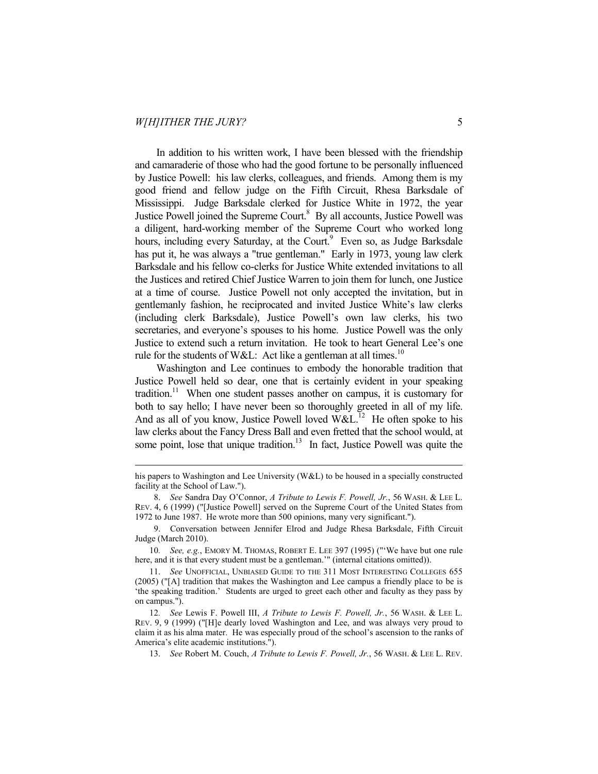$\overline{a}$ 

In addition to his written work, I have been blessed with the friendship and camaraderie of those who had the good fortune to be personally influenced by Justice Powell: his law clerks, colleagues, and friends. Among them is my good friend and fellow judge on the Fifth Circuit, Rhesa Barksdale of Mississippi. Judge Barksdale clerked for Justice White in 1972, the year Justice Powell joined the Supreme Court.<sup>8</sup> By all accounts, Justice Powell was a diligent, hard-working member of the Supreme Court who worked long hours, including every Saturday, at the Court.<sup>9</sup> Even so, as Judge Barksdale has put it, he was always a "true gentleman." Early in 1973, young law clerk Barksdale and his fellow co-clerks for Justice White extended invitations to all the Justices and retired Chief Justice Warren to join them for lunch, one Justice at a time of course. Justice Powell not only accepted the invitation, but in gentlemanly fashion, he reciprocated and invited Justice White's law clerks (including clerk Barksdale), Justice Powell's own law clerks, his two secretaries, and everyone's spouses to his home. Justice Powell was the only Justice to extend such a return invitation. He took to heart General Lee's one rule for the students of W&L: Act like a gentleman at all times.<sup>10</sup>

Washington and Lee continues to embody the honorable tradition that Justice Powell held so dear, one that is certainly evident in your speaking tradition.<sup>11</sup> When one student passes another on campus, it is customary for both to say hello; I have never been so thoroughly greeted in all of my life. And as all of you know, Justice Powell loved  $W\&L$ <sup>12</sup> He often spoke to his law clerks about the Fancy Dress Ball and even fretted that the school would, at some point, lose that unique tradition.<sup>13</sup> In fact, Justice Powell was quite the

his papers to Washington and Lee University (W&L) to be housed in a specially constructed facility at the School of Law.").

 <sup>8.</sup> *See* Sandra Day O'Connor, *A Tribute to Lewis F. Powell, Jr.*, 56 WASH. & LEE L. REV. 4, 6 (1999) ("[Justice Powell] served on the Supreme Court of the United States from 1972 to June 1987. He wrote more than 500 opinions, many very significant.").

 <sup>9.</sup> Conversation between Jennifer Elrod and Judge Rhesa Barksdale, Fifth Circuit Judge (March 2010).

<sup>10</sup>*. See, e.g.*, EMORY M. THOMAS, ROBERT E. LEE 397 (1995) ("'We have but one rule here, and it is that every student must be a gentleman.'" (internal citations omitted)).

 <sup>11.</sup> *See* UNOFFICIAL, UNBIASED GUIDE TO THE 311 MOST INTERESTING COLLEGES 655 (2005) ("[A] tradition that makes the Washington and Lee campus a friendly place to be is 'the speaking tradition.' Students are urged to greet each other and faculty as they pass by on campus.").

<sup>12</sup>*. See* Lewis F. Powell III, *A Tribute to Lewis F. Powell, Jr.*, 56 WASH. & LEE L. REV. 9, 9 (1999) ("[H]e dearly loved Washington and Lee, and was always very proud to claim it as his alma mater. He was especially proud of the school's ascension to the ranks of America's elite academic institutions.").

 <sup>13.</sup> *See* Robert M. Couch, *A Tribute to Lewis F. Powell, Jr.*, 56 WASH. & LEE L. REV.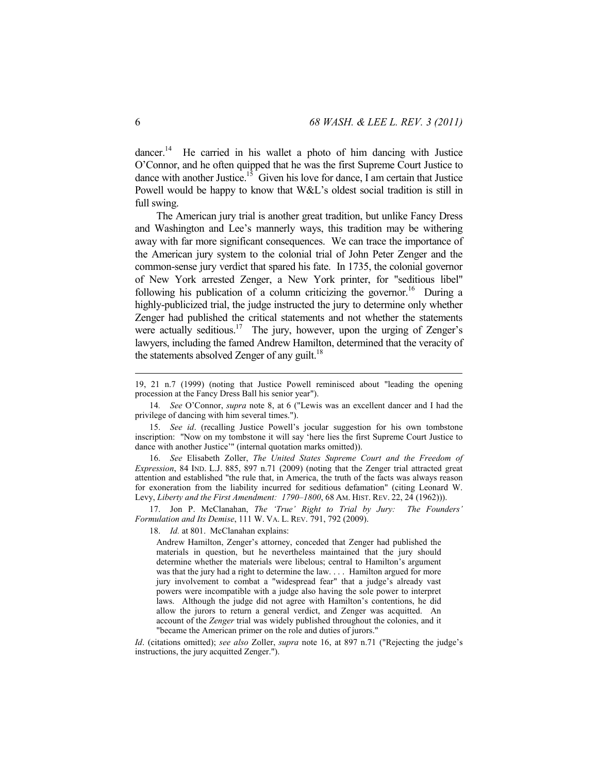dancer.<sup>14</sup> He carried in his wallet a photo of him dancing with Justice O'Connor, and he often quipped that he was the first Supreme Court Justice to dance with another Justice.<sup>15</sup> Given his love for dance, I am certain that Justice Powell would be happy to know that W&L's oldest social tradition is still in full swing.

The American jury trial is another great tradition, but unlike Fancy Dress and Washington and Lee's mannerly ways, this tradition may be withering away with far more significant consequences. We can trace the importance of the American jury system to the colonial trial of John Peter Zenger and the common-sense jury verdict that spared his fate. In 1735, the colonial governor of New York arrested Zenger, a New York printer, for "seditious libel" following his publication of a column criticizing the governor.<sup>16</sup> During a highly-publicized trial, the judge instructed the jury to determine only whether Zenger had published the critical statements and not whether the statements were actually seditious.<sup>17</sup> The jury, however, upon the urging of Zenger's lawyers, including the famed Andrew Hamilton, determined that the veracity of the statements absolved Zenger of any guilt.<sup>18</sup>

 16. *See* Elisabeth Zoller, *The United States Supreme Court and the Freedom of Expression*, 84 IND. L.J. 885, 897 n.71 (2009) (noting that the Zenger trial attracted great attention and established "the rule that, in America, the truth of the facts was always reason for exoneration from the liability incurred for seditious defamation" (citing Leonard W. Levy, *Liberty and the First Amendment: 1790–1800*, 68 AM. HIST. REV. 22, 24 (1962))).

 17. Jon P. McClanahan, *The 'True' Right to Trial by Jury: The Founders' Formulation and Its Demise*, 111 W. VA. L. REV. 791, 792 (2009).

18. *Id.* at 801. McClanahan explains:

Andrew Hamilton, Zenger's attorney, conceded that Zenger had published the materials in question, but he nevertheless maintained that the jury should determine whether the materials were libelous; central to Hamilton's argument was that the jury had a right to determine the law. . . . Hamilton argued for more jury involvement to combat a "widespread fear" that a judge's already vast powers were incompatible with a judge also having the sole power to interpret laws. Although the judge did not agree with Hamilton's contentions, he did allow the jurors to return a general verdict, and Zenger was acquitted. An account of the *Zenger* trial was widely published throughout the colonies, and it "became the American primer on the role and duties of jurors."

*Id*. (citations omitted); *see also* Zoller, *supra* note 16, at 897 n.71 ("Rejecting the judge's instructions, the jury acquitted Zenger.").

<sup>19, 21</sup> n.7 (1999) (noting that Justice Powell reminisced about "leading the opening procession at the Fancy Dress Ball his senior year").

<sup>14</sup>*. See* O'Connor, *supra* note 8, at 6 ("Lewis was an excellent dancer and I had the privilege of dancing with him several times.").

 <sup>15.</sup> *See id*. (recalling Justice Powell's jocular suggestion for his own tombstone inscription: "Now on my tombstone it will say 'here lies the first Supreme Court Justice to dance with another Justice'" (internal quotation marks omitted)).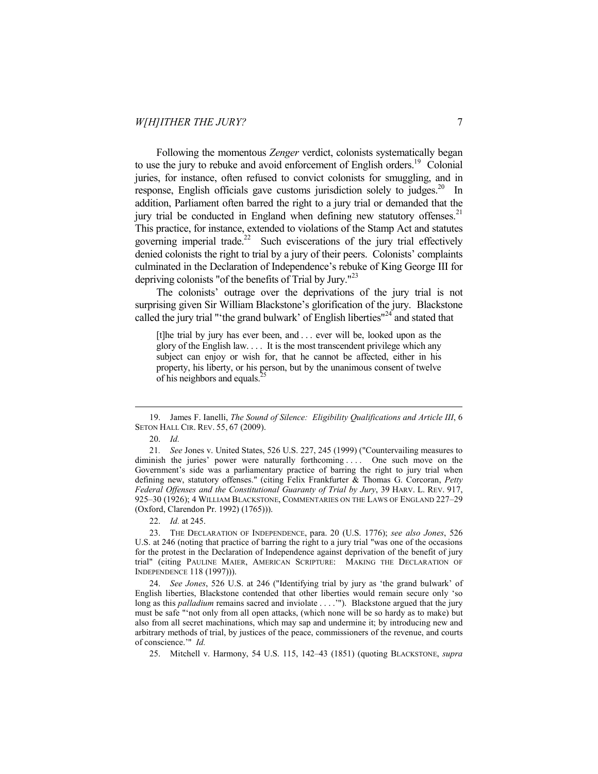Following the momentous *Zenger* verdict, colonists systematically began to use the jury to rebuke and avoid enforcement of English orders.<sup>19</sup> Colonial juries, for instance, often refused to convict colonists for smuggling, and in response, English officials gave customs jurisdiction solely to judges.<sup>20</sup> In addition, Parliament often barred the right to a jury trial or demanded that the jury trial be conducted in England when defining new statutory offenses.<sup>21</sup> This practice, for instance, extended to violations of the Stamp Act and statutes governing imperial trade.<sup>22</sup> Such eviscerations of the jury trial effectively denied colonists the right to trial by a jury of their peers. Colonists' complaints culminated in the Declaration of Independence's rebuke of King George III for depriving colonists "of the benefits of Trial by Jury."23

The colonists' outrage over the deprivations of the jury trial is not surprising given Sir William Blackstone's glorification of the jury. Blackstone called the jury trial "'the grand bulwark' of English liberties"<sup>24</sup> and stated that

[t]he trial by jury has ever been, and . . . ever will be, looked upon as the glory of the English law. . . . It is the most transcendent privilege which any subject can enjoy or wish for, that he cannot be affected, either in his property, his liberty, or his person, but by the unanimous consent of twelve of his neighbors and equals.<sup>2</sup>

 <sup>19.</sup> James F. Ianelli, *The Sound of Silence: Eligibility Qualifications and Article III*, 6 SETON HALL CIR. REV. 55, 67 (2009).

 <sup>20.</sup> *Id.*

<sup>21</sup>*. See* Jones v. United States, 526 U.S. 227, 245 (1999) ("Countervailing measures to diminish the juries' power were naturally forthcoming .... One such move on the Government's side was a parliamentary practice of barring the right to jury trial when defining new, statutory offenses." (citing Felix Frankfurter & Thomas G. Corcoran, *Petty Federal Offenses and the Constitutional Guaranty of Trial by Jury*, 39 HARV. L. REV. 917, 925–30 (1926); 4 WILLIAM BLACKSTONE, COMMENTARIES ON THE LAWS OF ENGLAND 227–29 (Oxford, Clarendon Pr. 1992) (1765))).

 <sup>22.</sup> *Id.* at 245.

 <sup>23.</sup> THE DECLARATION OF INDEPENDENCE, para. 20 (U.S. 1776); *see also Jones*, 526 U.S. at 246 (noting that practice of barring the right to a jury trial "was one of the occasions for the protest in the Declaration of Independence against deprivation of the benefit of jury trial" (citing PAULINE MAIER, AMERICAN SCRIPTURE: MAKING THE DECLARATION OF INDEPENDENCE 118 (1997))).

 <sup>24.</sup> *See Jones*, 526 U.S. at 246 ("Identifying trial by jury as 'the grand bulwark' of English liberties, Blackstone contended that other liberties would remain secure only 'so long as this *palladium* remains sacred and inviolate . . . . ""). Blackstone argued that the jury must be safe "'not only from all open attacks, (which none will be so hardy as to make) but also from all secret machinations, which may sap and undermine it; by introducing new and arbitrary methods of trial, by justices of the peace, commissioners of the revenue, and courts of conscience.'" *Id.*

 <sup>25.</sup> Mitchell v. Harmony, 54 U.S. 115, 142–43 (1851) (quoting BLACKSTONE, *supra*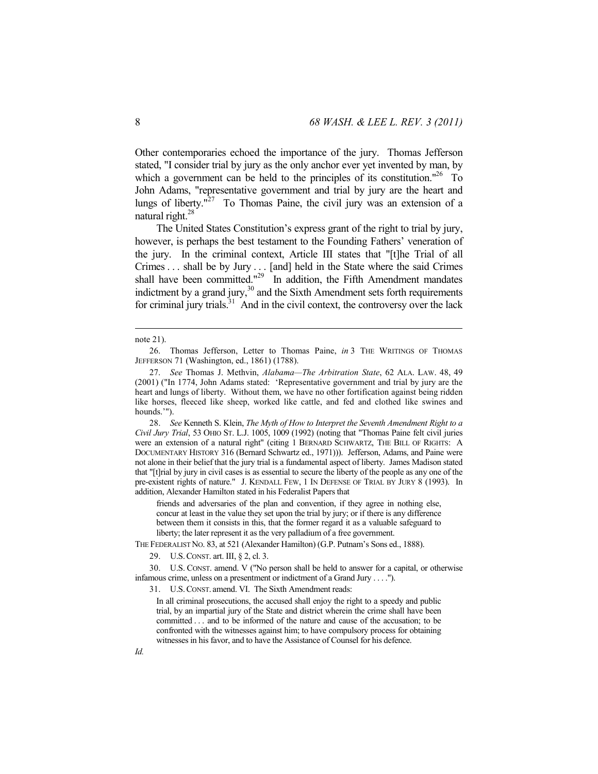Other contemporaries echoed the importance of the jury. Thomas Jefferson stated, "I consider trial by jury as the only anchor ever yet invented by man, by which a government can be held to the principles of its constitution."<sup>26</sup> To John Adams, "representative government and trial by jury are the heart and lungs of liberty."<sup>27</sup> To Thomas Paine, the civil jury was an extension of a natural right.28

The United States Constitution's express grant of the right to trial by jury, however, is perhaps the best testament to the Founding Fathers' veneration of the jury. In the criminal context, Article III states that "[t]he Trial of all Crimes . . . shall be by Jury . . . [and] held in the State where the said Crimes shall have been committed."<sup>29</sup> In addition, the Fifth Amendment mandates indictment by a grand jury, $30$  and the Sixth Amendment sets forth requirements for criminal jury trials. $31$  And in the civil context, the controversy over the lack

 $\overline{a}$ 

 28. *See* Kenneth S. Klein, *The Myth of How to Interpret the Seventh Amendment Right to a Civil Jury Trial*, 53 OHIO ST. L.J. 1005, 1009 (1992) (noting that "Thomas Paine felt civil juries were an extension of a natural right" (citing 1 BERNARD SCHWARTZ, THE BILL OF RIGHTS: A DOCUMENTARY HISTORY 316 (Bernard Schwartz ed., 1971))). Jefferson, Adams, and Paine were not alone in their belief that the jury trial is a fundamental aspect of liberty. James Madison stated that "[t]rial by jury in civil cases is as essential to secure the liberty of the people as any one of the pre-existent rights of nature." J. KENDALL FEW, 1 IN DEFENSE OF TRIAL BY JURY 8 (1993). In addition, Alexander Hamilton stated in his Federalist Papers that

friends and adversaries of the plan and convention, if they agree in nothing else, concur at least in the value they set upon the trial by jury; or if there is any difference between them it consists in this, that the former regard it as a valuable safeguard to liberty; the later represent it as the very palladium of a free government.

THE FEDERALIST NO. 83, at 521 (Alexander Hamilton) (G.P. Putnam's Sons ed., 1888).

29. U.S.CONST. art. III, § 2, cl. 3.

 30. U.S. CONST. amend. V ("No person shall be held to answer for a capital, or otherwise infamous crime, unless on a presentment or indictment of a Grand Jury . . . .").

31. U.S.CONST. amend. VI. The Sixth Amendment reads:

In all criminal prosecutions, the accused shall enjoy the right to a speedy and public trial, by an impartial jury of the State and district wherein the crime shall have been committed . . . and to be informed of the nature and cause of the accusation; to be confronted with the witnesses against him; to have compulsory process for obtaining witnesses in his favor, and to have the Assistance of Counsel for his defence.

note 21).

 <sup>26.</sup> Thomas Jefferson, Letter to Thomas Paine, *in* 3 THE WRITINGS OF THOMAS JEFFERSON 71 (Washington, ed., 1861) (1788).

 <sup>27.</sup> *See* Thomas J. Methvin, *Alabama—The Arbitration State*, 62 ALA. LAW. 48, 49 (2001) ("In 1774, John Adams stated: 'Representative government and trial by jury are the heart and lungs of liberty. Without them, we have no other fortification against being ridden like horses, fleeced like sheep, worked like cattle, and fed and clothed like swines and hounds.'").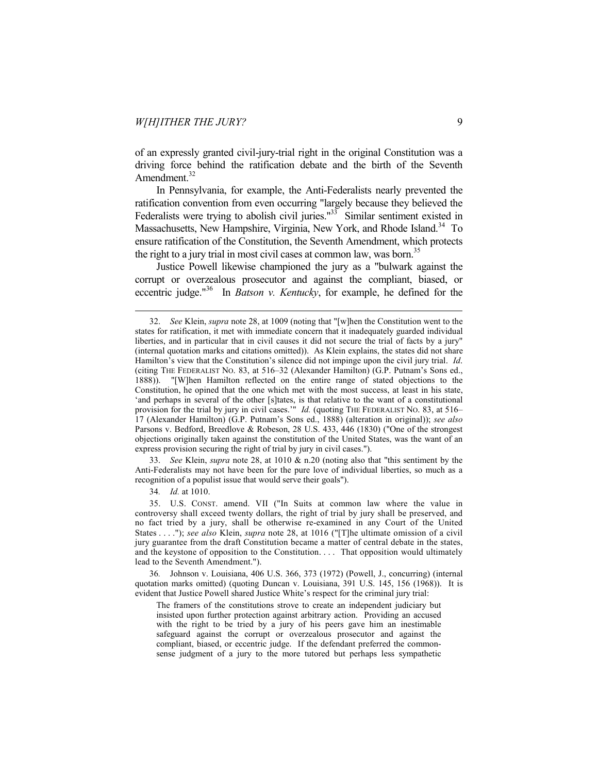of an expressly granted civil-jury-trial right in the original Constitution was a driving force behind the ratification debate and the birth of the Seventh Amendment.<sup>32</sup>

In Pennsylvania, for example, the Anti-Federalists nearly prevented the ratification convention from even occurring "largely because they believed the Federalists were trying to abolish civil juries. $133$  Similar sentiment existed in Massachusetts, New Hampshire, Virginia, New York, and Rhode Island.<sup>34</sup> To ensure ratification of the Constitution, the Seventh Amendment, which protects the right to a jury trial in most civil cases at common law, was born.<sup>35</sup>

Justice Powell likewise championed the jury as a "bulwark against the corrupt or overzealous prosecutor and against the compliant, biased, or eccentric judge."36 In *Batson v. Kentucky*, for example, he defined for the

 33. *See* Klein, *supra* note 28, at 1010 & n.20 (noting also that "this sentiment by the Anti-Federalists may not have been for the pure love of individual liberties, so much as a recognition of a populist issue that would serve their goals").

34*. Id.* at 1010.

 $\overline{a}$ 

 35. U.S. CONST. amend. VII ("In Suits at common law where the value in controversy shall exceed twenty dollars, the right of trial by jury shall be preserved, and no fact tried by a jury, shall be otherwise re-examined in any Court of the United States . . . ."); *see also* Klein, *supra* note 28, at 1016 ("[T]he ultimate omission of a civil jury guarantee from the draft Constitution became a matter of central debate in the states, and the keystone of opposition to the Constitution. . . . That opposition would ultimately lead to the Seventh Amendment.").

36*.* Johnson v. Louisiana, 406 U.S. 366, 373 (1972) (Powell, J., concurring) (internal quotation marks omitted) (quoting Duncan v. Louisiana, 391 U.S. 145, 156 (1968)). It is evident that Justice Powell shared Justice White's respect for the criminal jury trial:

The framers of the constitutions strove to create an independent judiciary but insisted upon further protection against arbitrary action. Providing an accused with the right to be tried by a jury of his peers gave him an inestimable safeguard against the corrupt or overzealous prosecutor and against the compliant, biased, or eccentric judge. If the defendant preferred the commonsense judgment of a jury to the more tutored but perhaps less sympathetic

 <sup>32.</sup> *See* Klein, *supra* note 28, at 1009 (noting that "[w]hen the Constitution went to the states for ratification, it met with immediate concern that it inadequately guarded individual liberties, and in particular that in civil causes it did not secure the trial of facts by a jury" (internal quotation marks and citations omitted)). As Klein explains, the states did not share Hamilton's view that the Constitution's silence did not impinge upon the civil jury trial. *Id*. (citing THE FEDERALIST NO. 83, at 516–32 (Alexander Hamilton) (G.P. Putnam's Sons ed., 1888)). "[W]hen Hamilton reflected on the entire range of stated objections to the Constitution, he opined that the one which met with the most success, at least in his state, 'and perhaps in several of the other [s]tates, is that relative to the want of a constitutional provision for the trial by jury in civil cases.'" *Id.* (quoting THE FEDERALIST NO. 83, at 516– 17 (Alexander Hamilton) (G.P. Putnam's Sons ed., 1888) (alteration in original)); *see also*  Parsons v. Bedford, Breedlove & Robeson, 28 U.S. 433, 446 (1830) ("One of the strongest objections originally taken against the constitution of the United States, was the want of an express provision securing the right of trial by jury in civil cases.").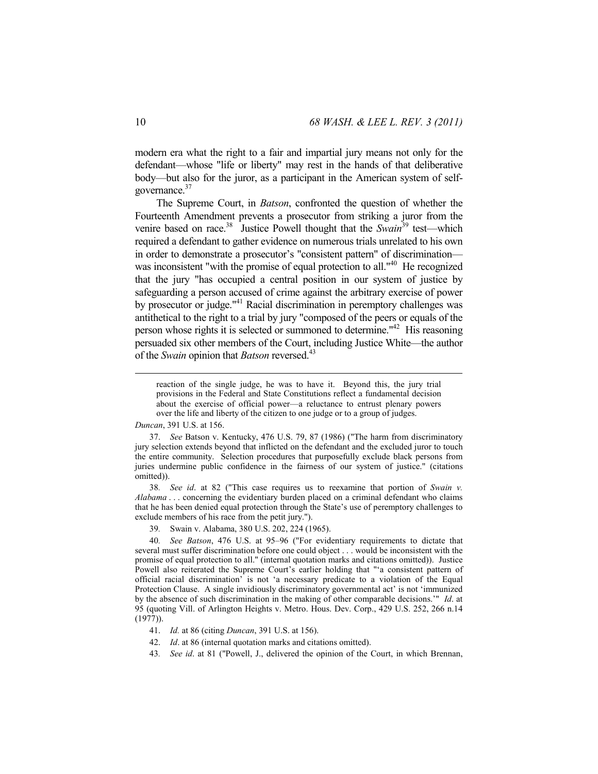modern era what the right to a fair and impartial jury means not only for the defendant—whose "life or liberty" may rest in the hands of that deliberative body—but also for the juror, as a participant in the American system of selfgovernance.<sup>37</sup>

The Supreme Court, in *Batson*, confronted the question of whether the Fourteenth Amendment prevents a prosecutor from striking a juror from the venire based on race.<sup>38</sup> Justice Powell thought that the *Swain*<sup>39</sup> test—which required a defendant to gather evidence on numerous trials unrelated to his own in order to demonstrate a prosecutor's "consistent pattern" of discrimination was inconsistent "with the promise of equal protection to all."<sup>40</sup> He recognized that the jury "has occupied a central position in our system of justice by safeguarding a person accused of crime against the arbitrary exercise of power by prosecutor or judge."<sup>41</sup> Racial discrimination in peremptory challenges was antithetical to the right to a trial by jury "composed of the peers or equals of the person whose rights it is selected or summoned to determine."42 His reasoning persuaded six other members of the Court, including Justice White—the author of the *Swain* opinion that *Batson* reversed.43

## *Duncan*, 391 U.S. at 156.

38*. See id*. at 82 ("This case requires us to reexamine that portion of *Swain v. Alabama* . . . concerning the evidentiary burden placed on a criminal defendant who claims that he has been denied equal protection through the State's use of peremptory challenges to exclude members of his race from the petit jury.").

39*.* Swain v. Alabama, 380 U.S. 202, 224 (1965).

40*. See Batson*, 476 U.S. at 95–96 ("For evidentiary requirements to dictate that several must suffer discrimination before one could object . . . would be inconsistent with the promise of equal protection to all." (internal quotation marks and citations omitted)). Justice Powell also reiterated the Supreme Court's earlier holding that "'a consistent pattern of official racial discrimination' is not 'a necessary predicate to a violation of the Equal Protection Clause. A single invidiously discriminatory governmental act' is not 'immunized by the absence of such discrimination in the making of other comparable decisions.'" *Id*. at 95 (quoting Vill. of Arlington Heights v. Metro. Hous. Dev. Corp., 429 U.S. 252, 266 n.14 (1977)).

- 41. *Id.* at 86 (citing *Duncan*, 391 U.S. at 156).
- 42. *Id*. at 86 (internal quotation marks and citations omitted).
- 43*. See id*. at 81 ("Powell, J., delivered the opinion of the Court, in which Brennan,

reaction of the single judge, he was to have it. Beyond this, the jury trial provisions in the Federal and State Constitutions reflect a fundamental decision about the exercise of official power—a reluctance to entrust plenary powers over the life and liberty of the citizen to one judge or to a group of judges.

 <sup>37.</sup> *See* Batson v. Kentucky, 476 U.S. 79, 87 (1986) ("The harm from discriminatory jury selection extends beyond that inflicted on the defendant and the excluded juror to touch the entire community. Selection procedures that purposefully exclude black persons from juries undermine public confidence in the fairness of our system of justice." (citations omitted)).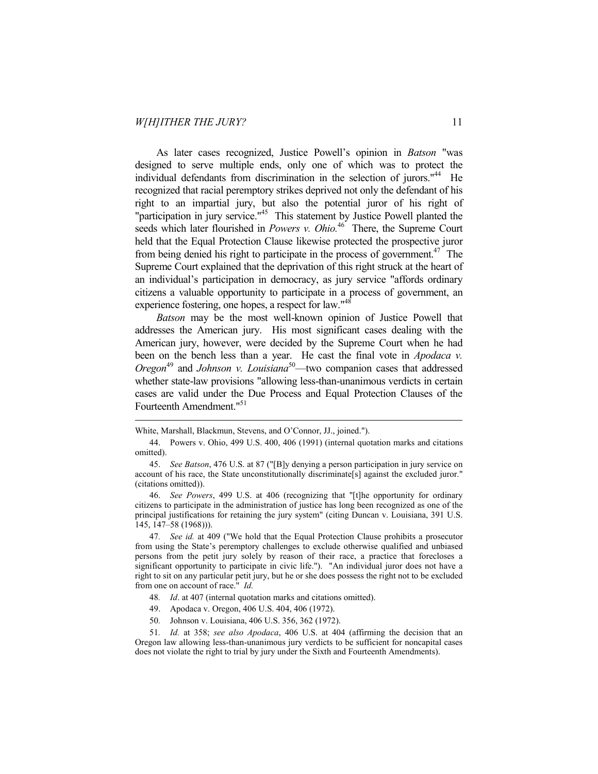$\overline{a}$ 

As later cases recognized, Justice Powell's opinion in *Batson* "was designed to serve multiple ends, only one of which was to protect the individual defendants from discrimination in the selection of jurors."<sup>44</sup> He recognized that racial peremptory strikes deprived not only the defendant of his right to an impartial jury, but also the potential juror of his right of "participation in jury service."<sup>45</sup> This statement by Justice Powell planted the seeds which later flourished in *Powers v. Ohio.*<sup>46</sup> There, the Supreme Court held that the Equal Protection Clause likewise protected the prospective juror from being denied his right to participate in the process of government.<sup>47</sup> The Supreme Court explained that the deprivation of this right struck at the heart of an individual's participation in democracy, as jury service "affords ordinary citizens a valuable opportunity to participate in a process of government, an experience fostering, one hopes, a respect for law."<sup>48</sup>

*Batson* may be the most well-known opinion of Justice Powell that addresses the American jury. His most significant cases dealing with the American jury, however, were decided by the Supreme Court when he had been on the bench less than a year. He cast the final vote in *Apodaca v. Oregon*<sup>49</sup> and *Johnson v. Louisiana*<sup>50</sup>—two companion cases that addressed whether state-law provisions "allowing less-than-unanimous verdicts in certain cases are valid under the Due Process and Equal Protection Clauses of the Fourteenth Amendment."<sup>51</sup>

- 48*. Id*. at 407 (internal quotation marks and citations omitted).
- 49. Apodaca v. Oregon, 406 U.S. 404, 406 (1972).
- 50*.* Johnson v. Louisiana, 406 U.S. 356, 362 (1972).

51*. Id.* at 358; *see also Apodaca*, 406 U.S. at 404 (affirming the decision that an Oregon law allowing less-than-unanimous jury verdicts to be sufficient for noncapital cases does not violate the right to trial by jury under the Sixth and Fourteenth Amendments).

White, Marshall, Blackmun, Stevens, and O'Connor, JJ., joined.").

 <sup>44.</sup> Powers v. Ohio, 499 U.S. 400, 406 (1991) (internal quotation marks and citations omitted).

 <sup>45.</sup> *See Batson*, 476 U.S. at 87 ("[B]y denying a person participation in jury service on account of his race, the State unconstitutionally discriminate[s] against the excluded juror." (citations omitted)).

 <sup>46.</sup> *See Powers*, 499 U.S. at 406 (recognizing that "[t]he opportunity for ordinary citizens to participate in the administration of justice has long been recognized as one of the principal justifications for retaining the jury system" (citing Duncan v. Louisiana, 391 U.S. 145, 147–58 (1968))).

<sup>47</sup>*. See id.* at 409 ("We hold that the Equal Protection Clause prohibits a prosecutor from using the State's peremptory challenges to exclude otherwise qualified and unbiased persons from the petit jury solely by reason of their race, a practice that forecloses a significant opportunity to participate in civic life."). "An individual juror does not have a right to sit on any particular petit jury, but he or she does possess the right not to be excluded from one on account of race." *Id.*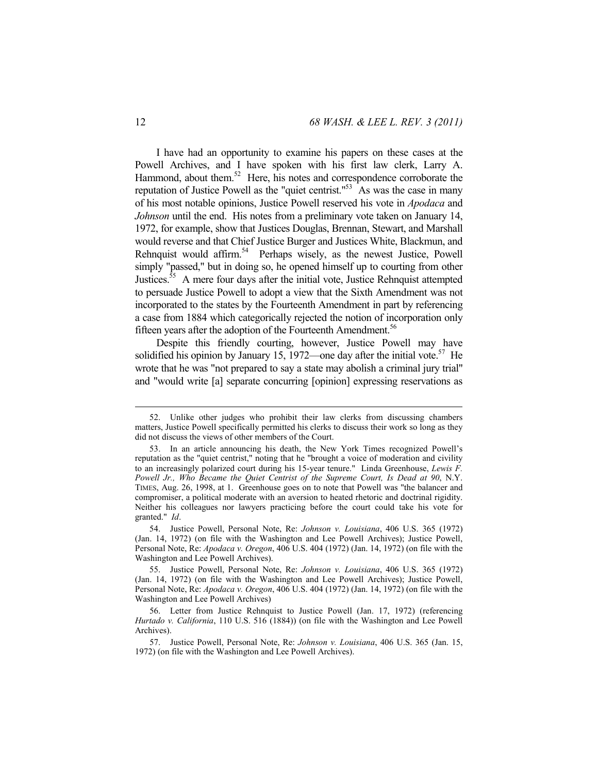I have had an opportunity to examine his papers on these cases at the Powell Archives, and I have spoken with his first law clerk, Larry A. Hammond, about them. $52$  Here, his notes and correspondence corroborate the reputation of Justice Powell as the "quiet centrist." $53$  As was the case in many of his most notable opinions, Justice Powell reserved his vote in *Apodaca* and *Johnson* until the end. His notes from a preliminary vote taken on January 14, 1972, for example, show that Justices Douglas, Brennan, Stewart, and Marshall would reverse and that Chief Justice Burger and Justices White, Blackmun, and Rehnquist would affirm.<sup>54</sup> Perhaps wisely, as the newest Justice, Powell simply "passed," but in doing so, he opened himself up to courting from other Justices.<sup>55</sup> A mere four days after the initial vote, Justice Rehnquist attempted to persuade Justice Powell to adopt a view that the Sixth Amendment was not incorporated to the states by the Fourteenth Amendment in part by referencing a case from 1884 which categorically rejected the notion of incorporation only fifteen years after the adoption of the Fourteenth Amendment.<sup>56</sup>

Despite this friendly courting, however, Justice Powell may have solidified his opinion by January 15, 1972—one day after the initial vote.<sup>57</sup> He wrote that he was "not prepared to say a state may abolish a criminal jury trial" and "would write [a] separate concurring [opinion] expressing reservations as

 <sup>52.</sup> Unlike other judges who prohibit their law clerks from discussing chambers matters, Justice Powell specifically permitted his clerks to discuss their work so long as they did not discuss the views of other members of the Court.

 <sup>53.</sup> In an article announcing his death, the New York Times recognized Powell's reputation as the "quiet centrist," noting that he "brought a voice of moderation and civility to an increasingly polarized court during his 15-year tenure." Linda Greenhouse, *Lewis F. Powell Jr., Who Became the Quiet Centrist of the Supreme Court, Is Dead at 90*, N.Y. TIMES, Aug. 26, 1998, at 1. Greenhouse goes on to note that Powell was "the balancer and compromiser, a political moderate with an aversion to heated rhetoric and doctrinal rigidity. Neither his colleagues nor lawyers practicing before the court could take his vote for granted." *Id*.

 <sup>54.</sup> Justice Powell, Personal Note, Re: *Johnson v. Louisiana*, 406 U.S. 365 (1972) (Jan. 14, 1972) (on file with the Washington and Lee Powell Archives); Justice Powell, Personal Note, Re: *Apodaca v. Oregon*, 406 U.S. 404 (1972) (Jan. 14, 1972) (on file with the Washington and Lee Powell Archives).

 <sup>55.</sup> Justice Powell, Personal Note, Re: *Johnson v. Louisiana*, 406 U.S. 365 (1972) (Jan. 14, 1972) (on file with the Washington and Lee Powell Archives); Justice Powell, Personal Note, Re: *Apodaca v. Oregon*, 406 U.S. 404 (1972) (Jan. 14, 1972) (on file with the Washington and Lee Powell Archives)

 <sup>56.</sup> Letter from Justice Rehnquist to Justice Powell (Jan. 17, 1972) (referencing *Hurtado v. California*, 110 U.S. 516 (1884)) (on file with the Washington and Lee Powell Archives).

 <sup>57.</sup> Justice Powell, Personal Note, Re: *Johnson v. Louisiana*, 406 U.S. 365 (Jan. 15, 1972) (on file with the Washington and Lee Powell Archives).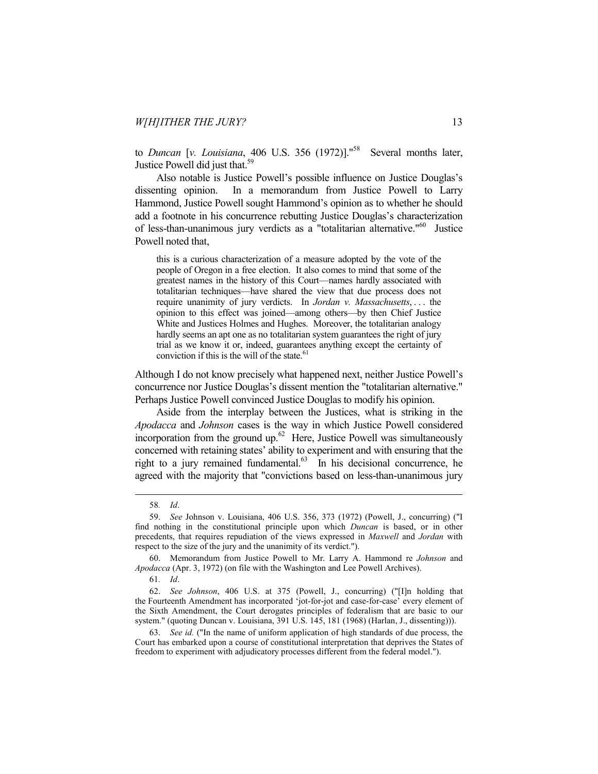to *Duncan* [v. Louisiana, 406 U.S. 356 (1972)]."<sup>58</sup> Several months later, Justice Powell did just that.<sup>59</sup>

Also notable is Justice Powell's possible influence on Justice Douglas's dissenting opinion. In a memorandum from Justice Powell to Larry Hammond, Justice Powell sought Hammond's opinion as to whether he should add a footnote in his concurrence rebutting Justice Douglas's characterization of less-than-unanimous jury verdicts as a "totalitarian alternative."60 Justice Powell noted that,

this is a curious characterization of a measure adopted by the vote of the people of Oregon in a free election. It also comes to mind that some of the greatest names in the history of this Court—names hardly associated with totalitarian techniques—have shared the view that due process does not require unanimity of jury verdicts. In *Jordan v. Massachusetts*, . . . the opinion to this effect was joined—among others—by then Chief Justice White and Justices Holmes and Hughes. Moreover, the totalitarian analogy hardly seems an apt one as no totalitarian system guarantees the right of jury trial as we know it or, indeed, guarantees anything except the certainty of conviction if this is the will of the state.<sup>61</sup>

Although I do not know precisely what happened next, neither Justice Powell's concurrence nor Justice Douglas's dissent mention the "totalitarian alternative." Perhaps Justice Powell convinced Justice Douglas to modify his opinion.

Aside from the interplay between the Justices, what is striking in the *Apodacca* and *Johnson* cases is the way in which Justice Powell considered incorporation from the ground up.<sup>62</sup> Here, Justice Powell was simultaneously concerned with retaining states' ability to experiment and with ensuring that the right to a jury remained fundamental.<sup>63</sup> In his decisional concurrence, he agreed with the majority that "convictions based on less-than-unanimous jury

 <sup>58</sup>*. Id*.

 <sup>59.</sup> *See* Johnson v. Louisiana, 406 U.S. 356, 373 (1972) (Powell, J., concurring) ("I find nothing in the constitutional principle upon which *Duncan* is based, or in other precedents, that requires repudiation of the views expressed in *Maxwell* and *Jordan* with respect to the size of the jury and the unanimity of its verdict.").

 <sup>60.</sup> Memorandum from Justice Powell to Mr. Larry A. Hammond re *Johnson* and *Apodacca* (Apr. 3, 1972) (on file with the Washington and Lee Powell Archives).

<sup>61</sup>*. Id*.

 <sup>62.</sup> *See Johnson*, 406 U.S. at 375 (Powell, J., concurring) ("[I]n holding that the Fourteenth Amendment has incorporated 'jot-for-jot and case-for-case' every element of the Sixth Amendment, the Court derogates principles of federalism that are basic to our system." (quoting Duncan v. Louisiana, 391 U.S. 145, 181 (1968) (Harlan, J., dissenting))).

 <sup>63.</sup> *See id.* ("In the name of uniform application of high standards of due process, the Court has embarked upon a course of constitutional interpretation that deprives the States of freedom to experiment with adjudicatory processes different from the federal model.").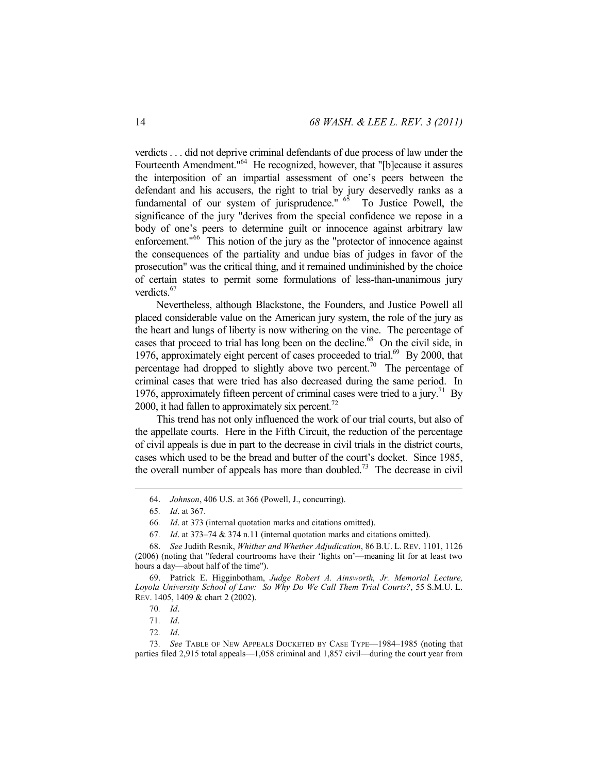verdicts . . . did not deprive criminal defendants of due process of law under the Fourteenth Amendment."64 He recognized, however, that "[b]ecause it assures the interposition of an impartial assessment of one's peers between the defendant and his accusers, the right to trial by jury deservedly ranks as a fundamental of our system of jurisprudence."  $65$  To Justice Powell, the significance of the jury "derives from the special confidence we repose in a body of one's peers to determine guilt or innocence against arbitrary law enforcement."<sup>66</sup> This notion of the jury as the "protector of innocence against the consequences of the partiality and undue bias of judges in favor of the prosecution" was the critical thing, and it remained undiminished by the choice of certain states to permit some formulations of less-than-unanimous jury verdicts.<sup>67</sup>

Nevertheless, although Blackstone, the Founders, and Justice Powell all placed considerable value on the American jury system, the role of the jury as the heart and lungs of liberty is now withering on the vine. The percentage of cases that proceed to trial has long been on the decline.<sup>68</sup> On the civil side, in 1976, approximately eight percent of cases proceeded to trial.<sup>69</sup> By 2000, that percentage had dropped to slightly above two percent.<sup>70</sup> The percentage of criminal cases that were tried has also decreased during the same period. In 1976, approximately fifteen percent of criminal cases were tried to a jury.<sup>71</sup> By 2000, it had fallen to approximately six percent.<sup>72</sup>

This trend has not only influenced the work of our trial courts, but also of the appellate courts. Here in the Fifth Circuit, the reduction of the percentage of civil appeals is due in part to the decrease in civil trials in the district courts, cases which used to be the bread and butter of the court's docket. Since 1985, the overall number of appeals has more than doubled.<sup>73</sup> The decrease in civil

 <sup>64.</sup> *Johnson*, 406 U.S. at 366 (Powell, J., concurring).

<sup>65</sup>*. Id*. at 367.

<sup>66</sup>*. Id*. at 373 (internal quotation marks and citations omitted).

<sup>67</sup>*. Id*. at 373–74 & 374 n.11 (internal quotation marks and citations omitted).

 <sup>68.</sup> *See* Judith Resnik, *Whither and Whether Adjudication*, 86 B.U. L. REV. 1101, 1126 (2006) (noting that "federal courtrooms have their 'lights on'—meaning lit for at least two hours a day—about half of the time").

 <sup>69.</sup> Patrick E. Higginbotham, *Judge Robert A. Ainsworth, Jr. Memorial Lecture, Loyola University School of Law: So Why Do We Call Them Trial Courts?*, 55 S.M.U. L. REV. 1405, 1409 & chart 2 (2002).

<sup>70</sup>*. Id*.

<sup>71</sup>*. Id*.

<sup>72</sup>*. Id*.

<sup>73</sup>*. See* TABLE OF NEW APPEALS DOCKETED BY CASE TYPE—1984–1985 (noting that parties filed 2,915 total appeals—1,058 criminal and 1,857 civil—during the court year from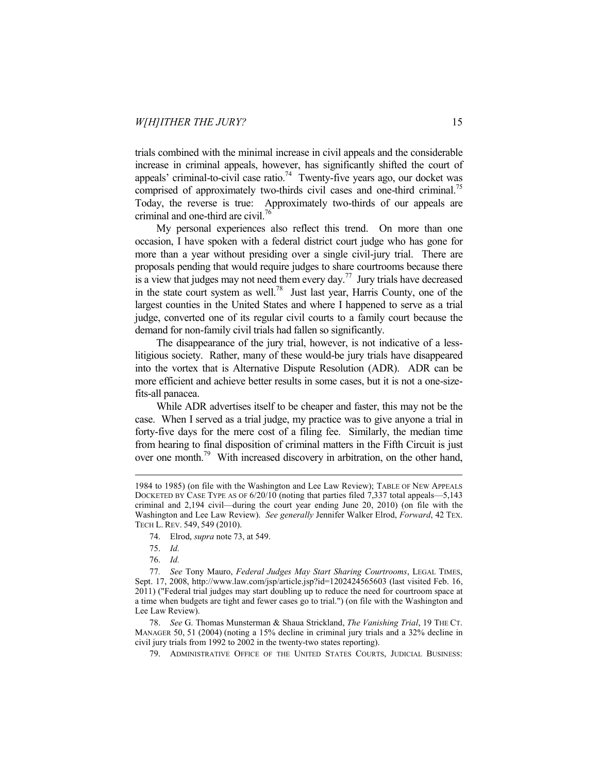trials combined with the minimal increase in civil appeals and the considerable increase in criminal appeals, however, has significantly shifted the court of appeals' criminal-to-civil case ratio.<sup>74</sup> Twenty-five years ago, our docket was comprised of approximately two-thirds civil cases and one-third criminal.<sup>75</sup> Today, the reverse is true: Approximately two-thirds of our appeals are criminal and one-third are civil.<sup>76</sup>

My personal experiences also reflect this trend. On more than one occasion, I have spoken with a federal district court judge who has gone for more than a year without presiding over a single civil-jury trial. There are proposals pending that would require judges to share courtrooms because there is a view that judges may not need them every day.<sup>77</sup> Jury trials have decreased in the state court system as well.<sup>78</sup> Just last year, Harris County, one of the largest counties in the United States and where I happened to serve as a trial judge, converted one of its regular civil courts to a family court because the demand for non-family civil trials had fallen so significantly.

The disappearance of the jury trial, however, is not indicative of a lesslitigious society. Rather, many of these would-be jury trials have disappeared into the vortex that is Alternative Dispute Resolution (ADR). ADR can be more efficient and achieve better results in some cases, but it is not a one-sizefits-all panacea.

While ADR advertises itself to be cheaper and faster, this may not be the case. When I served as a trial judge, my practice was to give anyone a trial in forty-five days for the mere cost of a filing fee. Similarly, the median time from hearing to final disposition of criminal matters in the Fifth Circuit is just over one month.79 With increased discovery in arbitration, on the other hand,

<sup>1984</sup> to 1985) (on file with the Washington and Lee Law Review); TABLE OF NEW APPEALS DOCKETED BY CASE TYPE AS OF 6/20/10 (noting that parties filed 7,337 total appeals—5,143 criminal and 2,194 civil—during the court year ending June 20, 2010) (on file with the Washington and Lee Law Review). *See generally* Jennifer Walker Elrod, *Forward*, 42 TEX. TECH L. REV. 549, 549 (2010).

 <sup>74.</sup> Elrod, *supra* note 73, at 549.

 <sup>75.</sup> *Id.*

 <sup>76.</sup> *Id.*

<sup>77</sup>*. See* Tony Mauro, *Federal Judges May Start Sharing Courtrooms*, LEGAL TIMES, Sept. 17, 2008, http://www.law.com/jsp/article.jsp?id=1202424565603 (last visited Feb. 16, 2011) ("Federal trial judges may start doubling up to reduce the need for courtroom space at a time when budgets are tight and fewer cases go to trial.") (on file with the Washington and Lee Law Review).

 <sup>78.</sup> *See* G. Thomas Munsterman & Shaua Strickland, *The Vanishing Trial*, 19 THE CT. MANAGER 50, 51 (2004) (noting a 15% decline in criminal jury trials and a 32% decline in civil jury trials from 1992 to 2002 in the twenty-two states reporting).

 <sup>79.</sup> ADMINISTRATIVE OFFICE OF THE UNITED STATES COURTS, JUDICIAL BUSINESS: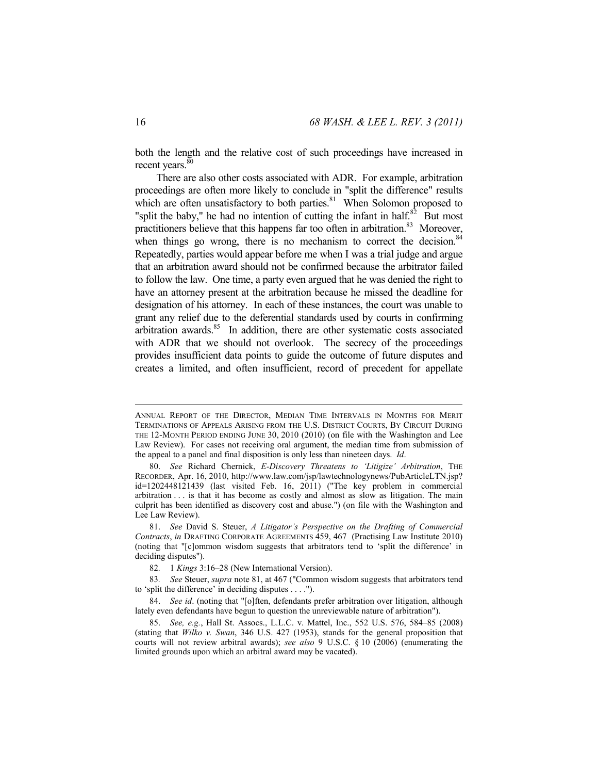both the length and the relative cost of such proceedings have increased in recent years.<sup>80</sup>

There are also other costs associated with ADR. For example, arbitration proceedings are often more likely to conclude in "split the difference" results which are often unsatisfactory to both parties. $81$  When Solomon proposed to "split the baby," he had no intention of cutting the infant in half.<sup>82</sup> But most practitioners believe that this happens far too often in arbitration.<sup>83</sup> Moreover, when things go wrong, there is no mechanism to correct the decision. $84$ Repeatedly, parties would appear before me when I was a trial judge and argue that an arbitration award should not be confirmed because the arbitrator failed to follow the law. One time, a party even argued that he was denied the right to have an attorney present at the arbitration because he missed the deadline for designation of his attorney. In each of these instances, the court was unable to grant any relief due to the deferential standards used by courts in confirming arbitration awards. $85$  In addition, there are other systematic costs associated with ADR that we should not overlook. The secrecy of the proceedings provides insufficient data points to guide the outcome of future disputes and creates a limited, and often insufficient, record of precedent for appellate

ANNUAL REPORT OF THE DIRECTOR, MEDIAN TIME INTERVALS IN MONTHS FOR MERIT TERMINATIONS OF APPEALS ARISING FROM THE U.S. DISTRICT COURTS, BY CIRCUIT DURING THE 12-MONTH PERIOD ENDING JUNE 30, 2010 (2010) (on file with the Washington and Lee Law Review). For cases not receiving oral argument, the median time from submission of the appeal to a panel and final disposition is only less than nineteen days. *Id*.

 <sup>80.</sup> *See* Richard Chernick, *E-Discovery Threatens to 'Litigize' Arbitration*, THE RECORDER, Apr. 16, 2010, http://www.law.com/jsp/lawtechnologynews/PubArticleLTN.jsp? id=1202448121439 (last visited Feb. 16, 2011) ("The key problem in commercial arbitration . . . is that it has become as costly and almost as slow as litigation. The main culprit has been identified as discovery cost and abuse.") (on file with the Washington and Lee Law Review).

 <sup>81.</sup> *See* David S. Steuer, *A Litigator's Perspective on the Drafting of Commercial Contracts*, *in* DRAFTING CORPORATE AGREEMENTS 459, 467 (Practising Law Institute 2010) (noting that "[c]ommon wisdom suggests that arbitrators tend to 'split the difference' in deciding disputes").

<sup>82</sup>*.* 1 *Kings* 3:16–28 (New International Version).

<sup>83</sup>*. See* Steuer, *supra* note 81, at 467 ("Common wisdom suggests that arbitrators tend to 'split the difference' in deciding disputes . . . .").

 <sup>84.</sup> *See id*. (noting that "[o]ften, defendants prefer arbitration over litigation, although lately even defendants have begun to question the unreviewable nature of arbitration").

 <sup>85.</sup> *See, e.g.*, Hall St. Assocs., L.L.C. v. Mattel, Inc., 552 U.S. 576, 584–85 (2008) (stating that *Wilko v. Swan*, 346 U.S. 427 (1953), stands for the general proposition that courts will not review arbitral awards); *see also* 9 U.S.C. § 10 (2006) (enumerating the limited grounds upon which an arbitral award may be vacated).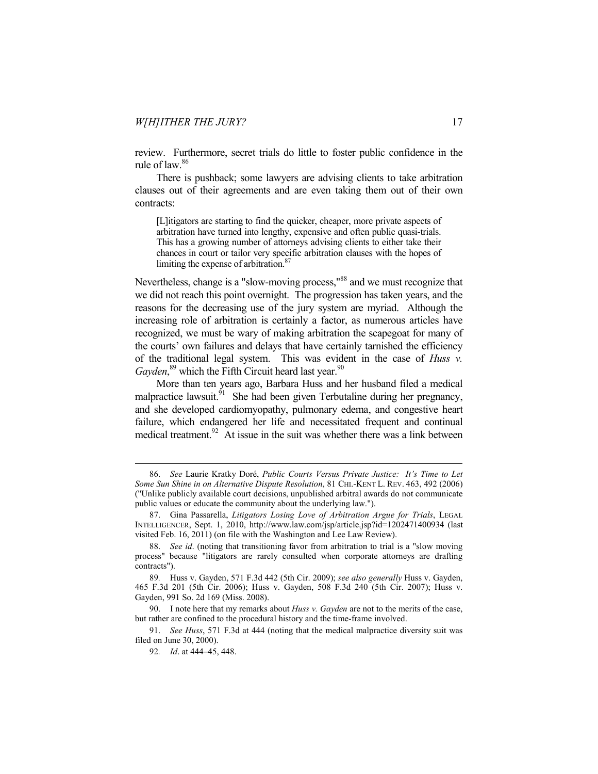review. Furthermore, secret trials do little to foster public confidence in the rule of law.86

There is pushback; some lawyers are advising clients to take arbitration clauses out of their agreements and are even taking them out of their own contracts:

[L]itigators are starting to find the quicker, cheaper, more private aspects of arbitration have turned into lengthy, expensive and often public quasi-trials. This has a growing number of attorneys advising clients to either take their chances in court or tailor very specific arbitration clauses with the hopes of limiting the expense of arbitration.<sup>8</sup>

Nevertheless, change is a "slow-moving process,"<sup>88</sup> and we must recognize that we did not reach this point overnight. The progression has taken years, and the reasons for the decreasing use of the jury system are myriad. Although the increasing role of arbitration is certainly a factor, as numerous articles have recognized, we must be wary of making arbitration the scapegoat for many of the courts' own failures and delays that have certainly tarnished the efficiency of the traditional legal system. This was evident in the case of *Huss v.*  Gayden,<sup>89</sup> which the Fifth Circuit heard last year.<sup>90</sup>

More than ten years ago, Barbara Huss and her husband filed a medical malpractice lawsuit.<sup>91</sup> She had been given Terbutaline during her pregnancy, and she developed cardiomyopathy, pulmonary edema, and congestive heart failure, which endangered her life and necessitated frequent and continual medical treatment.<sup>92</sup> At issue in the suit was whether there was a link between

 91. *See Huss*, 571 F.3d at 444 (noting that the medical malpractice diversity suit was filed on June 30, 2000).

 <sup>86.</sup> *See* Laurie Kratky Doré, *Public Courts Versus Private Justice: It's Time to Let Some Sun Shine in on Alternative Dispute Resolution*, 81 CHI.-KENT L. REV. 463, 492 (2006) ("Unlike publicly available court decisions, unpublished arbitral awards do not communicate public values or educate the community about the underlying law.").

 <sup>87.</sup> Gina Passarella, *Litigators Losing Love of Arbitration Argue for Trials*, LEGAL INTELLIGENCER, Sept. 1, 2010, http://www.law.com/jsp/article.jsp?id=1202471400934 (last visited Feb. 16, 2011) (on file with the Washington and Lee Law Review).

 <sup>88.</sup> *See id*. (noting that transitioning favor from arbitration to trial is a "slow moving process" because "litigators are rarely consulted when corporate attorneys are drafting contracts").

<sup>89</sup>*.* Huss v. Gayden, 571 F.3d 442 (5th Cir. 2009); *see also generally* Huss v. Gayden, 465 F.3d 201 (5th Cir. 2006); Huss v. Gayden, 508 F.3d 240 (5th Cir. 2007); Huss v. Gayden, 991 So. 2d 169 (Miss. 2008).

 <sup>90.</sup> I note here that my remarks about *Huss v. Gayden* are not to the merits of the case, but rather are confined to the procedural history and the time-frame involved.

<sup>92</sup>*. Id*. at 444–45, 448.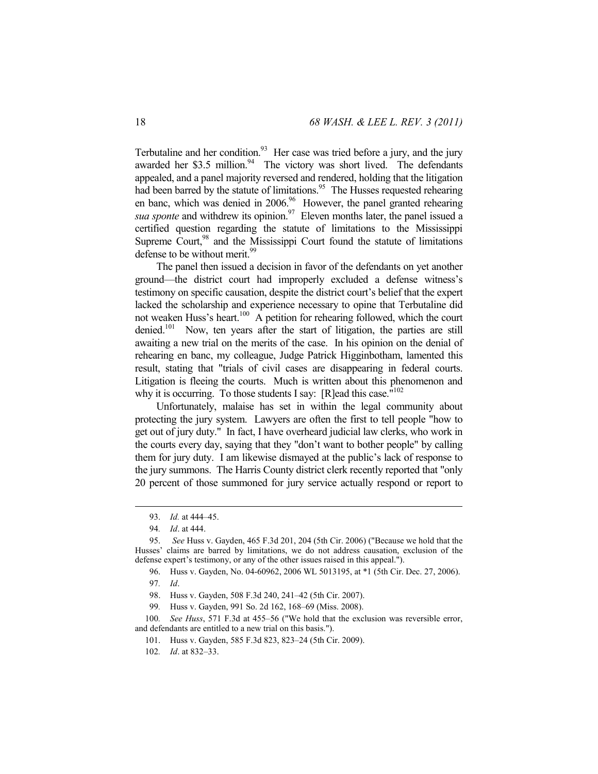Terbutaline and her condition.<sup>93</sup> Her case was tried before a jury, and the jury awarded her \$3.5 million. $94$  The victory was short lived. The defendants appealed, and a panel majority reversed and rendered, holding that the litigation had been barred by the statute of limitations.<sup>95</sup> The Husses requested rehearing en banc, which was denied in 2006.<sup>96</sup> However, the panel granted rehearing *sua sponte* and withdrew its opinion.<sup>97</sup> Eleven months later, the panel issued a certified question regarding the statute of limitations to the Mississippi Supreme Court, $98$  and the Mississippi Court found the statute of limitations defense to be without merit.<sup>99</sup>

The panel then issued a decision in favor of the defendants on yet another ground—the district court had improperly excluded a defense witness's testimony on specific causation, despite the district court's belief that the expert lacked the scholarship and experience necessary to opine that Terbutaline did not weaken Huss's heart.<sup>100</sup> A petition for rehearing followed, which the court denied.<sup>101</sup> Now, ten years after the start of litigation, the parties are still awaiting a new trial on the merits of the case. In his opinion on the denial of rehearing en banc, my colleague, Judge Patrick Higginbotham, lamented this result, stating that "trials of civil cases are disappearing in federal courts. Litigation is fleeing the courts. Much is written about this phenomenon and why it is occurring. To those students I say: [R]ead this case."<sup>102</sup>

Unfortunately, malaise has set in within the legal community about protecting the jury system. Lawyers are often the first to tell people "how to get out of jury duty." In fact, I have overheard judicial law clerks, who work in the courts every day, saying that they "don't want to bother people" by calling them for jury duty. I am likewise dismayed at the public's lack of response to the jury summons. The Harris County district clerk recently reported that "only 20 percent of those summoned for jury service actually respond or report to

 $\overline{a}$ 

- 98. Huss v. Gayden, 508 F.3d 240, 241–42 (5th Cir. 2007).
- 99*.* Huss v. Gayden, 991 So. 2d 162, 168–69 (Miss. 2008).

100*. See Huss*, 571 F.3d at 455–56 ("We hold that the exclusion was reversible error, and defendants are entitled to a new trial on this basis.").

101. Huss v. Gayden, 585 F.3d 823, 823–24 (5th Cir. 2009).

102*. Id*. at 832–33.

 <sup>93.</sup> *Id.* at 444–45.

<sup>94</sup>*. Id*. at 444.

 <sup>95.</sup> *See* Huss v. Gayden, 465 F.3d 201, 204 (5th Cir. 2006) ("Because we hold that the Husses' claims are barred by limitations, we do not address causation, exclusion of the defense expert's testimony, or any of the other issues raised in this appeal.").

 <sup>96.</sup> Huss v. Gayden, No. 04-60962, 2006 WL 5013195, at \*1 (5th Cir. Dec. 27, 2006). 97*. Id*.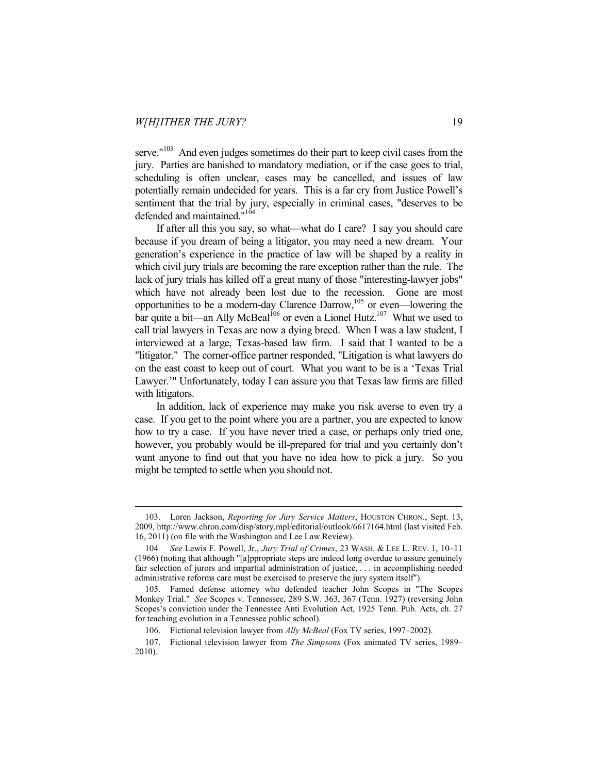$\overline{a}$ 

serve."<sup>103</sup> And even judges sometimes do their part to keep civil cases from the jury. Parties are banished to mandatory mediation, or if the case goes to trial, scheduling is often unclear, cases may be cancelled, and issues of law potentially remain undecided for years. This is a far cry from Justice Powell's sentiment that the trial by jury, especially in criminal cases, "deserves to be defended and maintained."<sup>104</sup>

If after all this you say, so what—what do I care? I say you should care because if you dream of being a litigator, you may need a new dream. Your generation's experience in the practice of law will be shaped by a reality in which civil jury trials are becoming the rare exception rather than the rule. The lack of jury trials has killed off a great many of those "interesting-lawyer jobs" which have not already been lost due to the recession. Gone are most opportunities to be a modern-day Clarence Darrow,105 or even—lowering the bar quite a bit—an Ally McBeal<sup>106</sup> or even a Lionel Hutz.<sup>107</sup> What we used to call trial lawyers in Texas are now a dying breed. When I was a law student, I interviewed at a large, Texas-based law firm. I said that I wanted to be a "litigator." The corner-office partner responded, "Litigation is what lawyers do on the east coast to keep out of court. What you want to be is a 'Texas Trial Lawyer.'" Unfortunately, today I can assure you that Texas law firms are filled with litigators.

In addition, lack of experience may make you risk averse to even try a case. If you get to the point where you are a partner, you are expected to know how to try a case. If you have never tried a case, or perhaps only tried one, however, you probably would be ill-prepared for trial and you certainly don't want anyone to find out that you have no idea how to pick a jury. So you might be tempted to settle when you should not.

 <sup>103.</sup> Loren Jackson, *Reporting for Jury Service Matters*, HOUSTON CHRON., Sept. 13, 2009, http://www.chron.com/disp/story.mpl/editorial/outlook/6617164.html (last visited Feb. 16, 2011) (on file with the Washington and Lee Law Review).

<sup>104</sup>*. See* Lewis F. Powell, Jr., *Jury Trial of Crimes*, 23 WASH. & LEE L. REV. 1, 10–11 (1966) (noting that although "[a]ppropriate steps are indeed long overdue to assure genuinely fair selection of jurors and impartial administration of justice, . . . in accomplishing needed administrative reforms care must be exercised to preserve the jury system itself").

 <sup>105.</sup> Famed defense attorney who defended teacher John Scopes in "The Scopes Monkey Trial." *See* Scopes v. Tennessee, 289 S.W. 363, 367 (Tenn. 1927) (reversing John Scopes's conviction under the Tennessee Anti Evolution Act, 1925 Tenn. Pub. Acts, ch. 27 for teaching evolution in a Tennessee public school).

 <sup>106.</sup> Fictional television lawyer from *Ally McBeal* (Fox TV series, 1997–2002).

 <sup>107.</sup> Fictional television lawyer from *The Simpsons* (Fox animated TV series, 1989– 2010).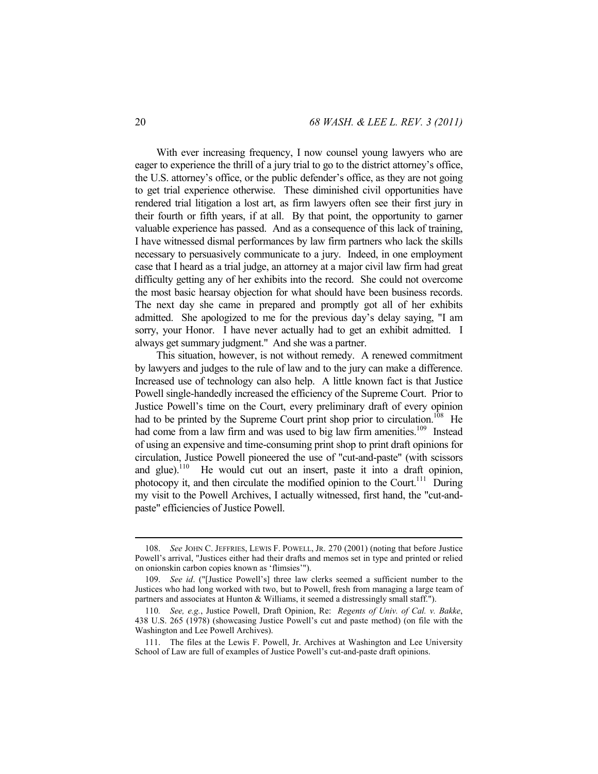With ever increasing frequency, I now counsel young lawyers who are eager to experience the thrill of a jury trial to go to the district attorney's office, the U.S. attorney's office, or the public defender's office, as they are not going to get trial experience otherwise. These diminished civil opportunities have rendered trial litigation a lost art, as firm lawyers often see their first jury in their fourth or fifth years, if at all. By that point, the opportunity to garner valuable experience has passed. And as a consequence of this lack of training, I have witnessed dismal performances by law firm partners who lack the skills necessary to persuasively communicate to a jury. Indeed, in one employment case that I heard as a trial judge, an attorney at a major civil law firm had great difficulty getting any of her exhibits into the record. She could not overcome the most basic hearsay objection for what should have been business records. The next day she came in prepared and promptly got all of her exhibits admitted. She apologized to me for the previous day's delay saying, "I am sorry, your Honor. I have never actually had to get an exhibit admitted. I always get summary judgment." And she was a partner.

This situation, however, is not without remedy. A renewed commitment by lawyers and judges to the rule of law and to the jury can make a difference. Increased use of technology can also help. A little known fact is that Justice Powell single-handedly increased the efficiency of the Supreme Court. Prior to Justice Powell's time on the Court, every preliminary draft of every opinion had to be printed by the Supreme Court print shop prior to circulation.<sup>108</sup> He had come from a law firm and was used to big law firm amenities.<sup>109</sup> Instead of using an expensive and time-consuming print shop to print draft opinions for circulation, Justice Powell pioneered the use of "cut-and-paste" (with scissors and glue).<sup>110</sup> He would cut out an insert, paste it into a draft opinion, photocopy it, and then circulate the modified opinion to the Court.<sup>111</sup> During my visit to the Powell Archives, I actually witnessed, first hand, the "cut-andpaste" efficiencies of Justice Powell.

 <sup>108.</sup> *See* JOHN C. JEFFRIES, LEWIS F. POWELL, JR. 270 (2001) (noting that before Justice Powell's arrival, "Justices either had their drafts and memos set in type and printed or relied on onionskin carbon copies known as 'flimsies'").

 <sup>109.</sup> *See id*. ("[Justice Powell's] three law clerks seemed a sufficient number to the Justices who had long worked with two, but to Powell, fresh from managing a large team of partners and associates at Hunton & Williams, it seemed a distressingly small staff.").

<sup>110</sup>*. See, e.g.*, Justice Powell, Draft Opinion, Re: *Regents of Univ. of Cal. v. Bakke*, 438 U.S. 265 (1978) (showcasing Justice Powell's cut and paste method) (on file with the Washington and Lee Powell Archives).

 <sup>111.</sup> The files at the Lewis F. Powell, Jr. Archives at Washington and Lee University School of Law are full of examples of Justice Powell's cut-and-paste draft opinions.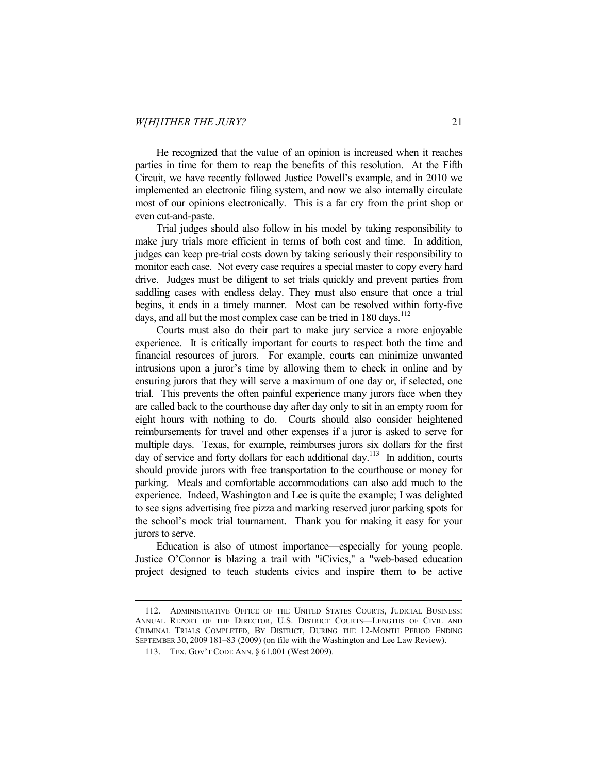He recognized that the value of an opinion is increased when it reaches parties in time for them to reap the benefits of this resolution. At the Fifth Circuit, we have recently followed Justice Powell's example, and in 2010 we implemented an electronic filing system, and now we also internally circulate most of our opinions electronically. This is a far cry from the print shop or even cut-and-paste.

Trial judges should also follow in his model by taking responsibility to make jury trials more efficient in terms of both cost and time. In addition, judges can keep pre-trial costs down by taking seriously their responsibility to monitor each case. Not every case requires a special master to copy every hard drive. Judges must be diligent to set trials quickly and prevent parties from saddling cases with endless delay. They must also ensure that once a trial begins, it ends in a timely manner. Most can be resolved within forty-five days, and all but the most complex case can be tried in  $180 \text{ days}$ .<sup>112</sup>

Courts must also do their part to make jury service a more enjoyable experience. It is critically important for courts to respect both the time and financial resources of jurors. For example, courts can minimize unwanted intrusions upon a juror's time by allowing them to check in online and by ensuring jurors that they will serve a maximum of one day or, if selected, one trial. This prevents the often painful experience many jurors face when they are called back to the courthouse day after day only to sit in an empty room for eight hours with nothing to do. Courts should also consider heightened reimbursements for travel and other expenses if a juror is asked to serve for multiple days. Texas, for example, reimburses jurors six dollars for the first day of service and forty dollars for each additional day.<sup>113</sup> In addition, courts should provide jurors with free transportation to the courthouse or money for parking. Meals and comfortable accommodations can also add much to the experience. Indeed, Washington and Lee is quite the example; I was delighted to see signs advertising free pizza and marking reserved juror parking spots for the school's mock trial tournament. Thank you for making it easy for your jurors to serve.

Education is also of utmost importance—especially for young people. Justice O'Connor is blazing a trail with "iCivics," a "web-based education project designed to teach students civics and inspire them to be active

 <sup>112.</sup> ADMINISTRATIVE OFFICE OF THE UNITED STATES COURTS, JUDICIAL BUSINESS: ANNUAL REPORT OF THE DIRECTOR, U.S. DISTRICT COURTS—LENGTHS OF CIVIL AND CRIMINAL TRIALS COMPLETED, BY DISTRICT, DURING THE 12-MONTH PERIOD ENDING SEPTEMBER 30, 2009 181–83 (2009) (on file with the Washington and Lee Law Review).

 <sup>113.</sup> TEX. GOV'T CODE ANN. § 61.001 (West 2009).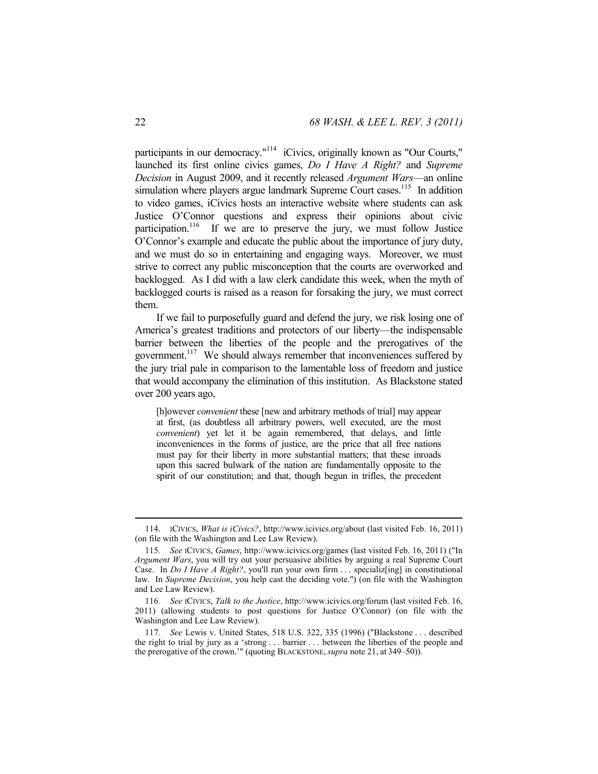participants in our democracy."114 iCivics, originally known as "Our Courts," launched its first online civics games, *Do I Have A Right?* and *Supreme Decision* in August 2009, and it recently released *Argument Wars*—an online simulation where players argue landmark Supreme Court cases.<sup>115</sup> In addition to video games, iCivics hosts an interactive website where students can ask Justice O'Connor questions and express their opinions about civic participation.<sup>116</sup> If we are to preserve the jury, we must follow Justice O'Connor's example and educate the public about the importance of jury duty, and we must do so in entertaining and engaging ways. Moreover, we must strive to correct any public misconception that the courts are overworked and backlogged. As I did with a law clerk candidate this week, when the myth of backlogged courts is raised as a reason for forsaking the jury, we must correct them.

If we fail to purposefully guard and defend the jury, we risk losing one of America's greatest traditions and protectors of our liberty—the indispensable barrier between the liberties of the people and the prerogatives of the government.<sup>117</sup> We should always remember that inconveniences suffered by the jury trial pale in comparison to the lamentable loss of freedom and justice that would accompany the elimination of this institution. As Blackstone stated over 200 years ago,

[h]owever *convenient* these [new and arbitrary methods of trial] may appear at first, (as doubtless all arbitrary powers, well executed, are the most *convenient*) yet let it be again remembered, that delays, and little inconveniences in the forms of justice, are the price that all free nations must pay for their liberty in more substantial matters; that these inroads upon this sacred bulwark of the nation are fundamentally opposite to the spirit of our constitution; and that, though begun in trifles, the precedent

 <sup>114.</sup> ICIVICS, *What is iCivics?*, http://www.icivics.org/about (last visited Feb. 16, 2011) (on file with the Washington and Lee Law Review).

<sup>115</sup>*. See* ICIVICS, *Games*, http://www.icivics.org/games (last visited Feb. 16, 2011) ("In *Argument Wars*, you will try out your persuasive abilities by arguing a real Supreme Court Case. In *Do I Have A Right?*, you'll run your own firm . . . specializen j in constitutional law. In *Supreme Decision*, you help cast the deciding vote.") (on file with the Washington and Lee Law Review).

<sup>116</sup>*. See* ICIVICS, *Talk to the Justice*, http://www.icivics.org/forum (last visited Feb. 16, 2011) (allowing students to post questions for Justice O'Connor) (on file with the Washington and Lee Law Review).

<sup>117</sup>*. See* Lewis v. United States, 518 U.S. 322, 335 (1996) ("Blackstone . . . described the right to trial by jury as a 'strong . . . barrier . . . between the liberties of the people and the prerogative of the crown.'" (quoting BLACKSTONE, *supra* note 21, at 349–50)).